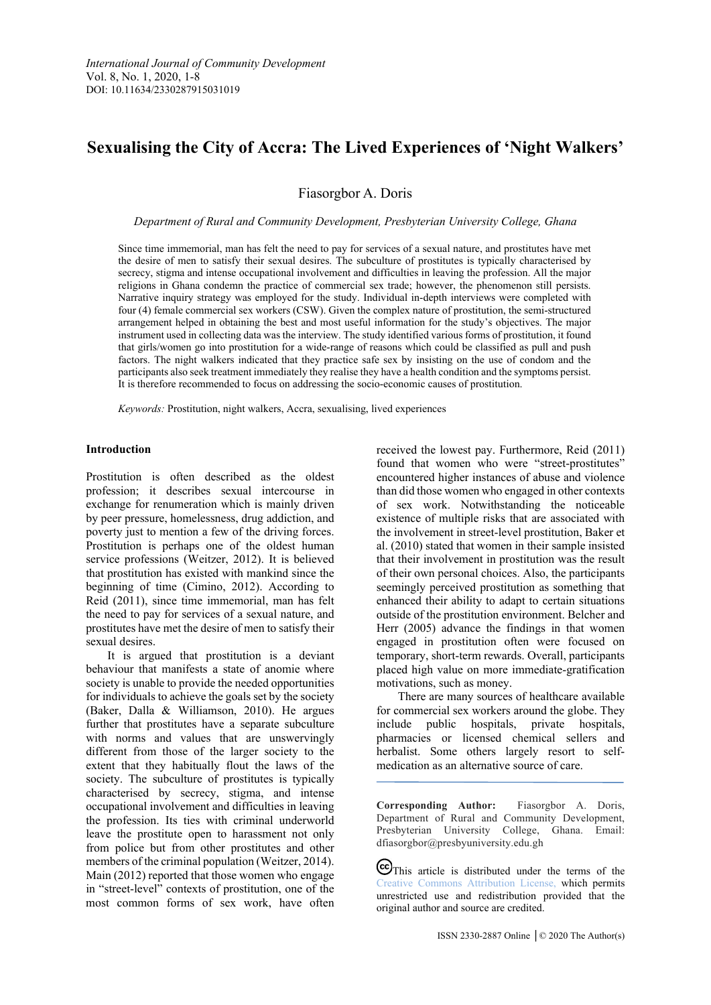# **Sexualising the City of Accra: The Lived Experiences of 'Night Walkers'**

Fiasorgbor A. Doris

*Department of Rural and Community Development, Presbyterian University College, Ghana*

Since time immemorial, man has felt the need to pay for services of a sexual nature, and prostitutes have met the desire of men to satisfy their sexual desires. The subculture of prostitutes is typically characterised by secrecy, stigma and intense occupational involvement and difficulties in leaving the profession. All the major religions in Ghana condemn the practice of commercial sex trade; however, the phenomenon still persists. Narrative inquiry strategy was employed for the study. Individual in-depth interviews were completed with four (4) female commercial sex workers (CSW). Given the complex nature of prostitution, the semi-structured arrangement helped in obtaining the best and most useful information for the study's objectives. The major instrument used in collecting data was the interview. The study identified various forms of prostitution, it found that girls/women go into prostitution for a wide-range of reasons which could be classified as pull and push factors. The night walkers indicated that they practice safe sex by insisting on the use of condom and the participants also seek treatment immediately they realise they have a health condition and the symptoms persist. It is therefore recommended to focus on addressing the socio-economic causes of prostitution.

*Keywords:* Prostitution, night walkers, Accra, sexualising, lived experiences

## **Introduction**

Prostitution is often described as the oldest profession; it describes sexual intercourse in exchange for renumeration which is mainly driven by peer pressure, homelessness, drug addiction, and poverty just to mention a few of the driving forces. Prostitution is perhaps one of the oldest human service professions (Weitzer, 2012). It is believed that prostitution has existed with mankind since the beginning of time (Cimino, 2012). According to Reid (2011), since time immemorial, man has felt the need to pay for services of a sexual nature, and prostitutes have met the desire of men to satisfy their sexual desires.

It is argued that prostitution is a deviant behaviour that manifests a state of anomie where society is unable to provide the needed opportunities for individuals to achieve the goals set by the society (Baker, Dalla & Williamson, 2010). He argues further that prostitutes have a separate subculture with norms and values that are unswervingly different from those of the larger society to the extent that they habitually flout the laws of the society. The subculture of prostitutes is typically characterised by secrecy, stigma, and intense occupational involvement and difficulties in leaving the profession. Its ties with criminal underworld leave the prostitute open to harassment not only from police but from other prostitutes and other members of the criminal population (Weitzer, 2014). Main (2012) reported that those women who engage in "street-level" contexts of prostitution, one of the most common forms of sex work, have often received the lowest pay. Furthermore, Reid (2011) found that women who were "street-prostitutes" encountered higher instances of abuse and violence than did those women who engaged in other contexts of sex work. Notwithstanding the noticeable existence of multiple risks that are associated with the involvement in street-level prostitution, Baker et al. (2010) stated that women in their sample insisted that their involvement in prostitution was the result of their own personal choices. Also, the participants seemingly perceived prostitution as something that enhanced their ability to adapt to certain situations outside of the prostitution environment. Belcher and Herr (2005) advance the findings in that women engaged in prostitution often were focused on temporary, short-term rewards. Overall, participants placed high value on more immediate-gratification motivations, such as money.

There are many sources of healthcare available for commercial sex workers around the globe. They include public hospitals, private hospitals, pharmacies or licensed chemical sellers and herbalist. Some others largely resort to selfmedication as an alternative source of care.

**Corresponding Author:** Fiasorgbor A. Doris, Department of Rural and Community Development, Presbyterian University College, Ghana. Email: dfiasorgbor@presbyuniversity.edu.gh

CC This article is distributed under the terms of the [Creative Commons Attribution License,](http://creativecommons.org/licenses/by/3.0/) which permits unrestricted use and redistribution provided that the original author and source are credited.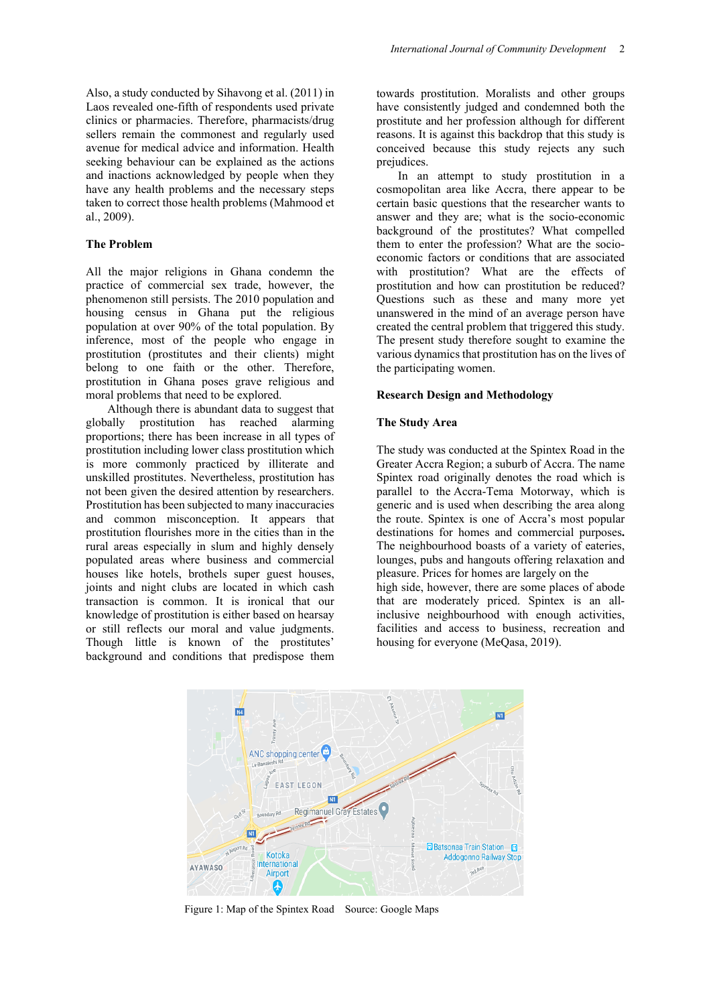Also, a study conducted by Sihavong et al. (2011) in Laos revealed one-fifth of respondents used private clinics or pharmacies. Therefore, pharmacists/drug sellers remain the commonest and regularly used avenue for medical advice and information. Health seeking behaviour can be explained as the actions and inactions acknowledged by people when they have any health problems and the necessary steps taken to correct those health problems (Mahmood et al., 2009).

## **The Problem**

All the major religions in Ghana condemn the practice of commercial sex trade, however, the phenomenon still persists. The 2010 population and housing census in Ghana put the religious population at over 90% of the total population. By inference, most of the people who engage in prostitution (prostitutes and their clients) might belong to one faith or the other. Therefore, prostitution in Ghana poses grave religious and moral problems that need to be explored.

Although there is abundant data to suggest that globally prostitution has reached alarming proportions; there has been increase in all types of prostitution including lower class prostitution which is more commonly practiced by illiterate and unskilled prostitutes. Nevertheless, prostitution has not been given the desired attention by researchers. Prostitution has been subjected to many inaccuracies and common misconception. It appears that prostitution flourishes more in the cities than in the rural areas especially in slum and highly densely populated areas where business and commercial houses like hotels, brothels super guest houses, joints and night clubs are located in which cash transaction is common. It is ironical that our knowledge of prostitution is either based on hearsay or still reflects our moral and value judgments. Though little is known of the prostitutes' background and conditions that predispose them

towards prostitution. Moralists and other groups have consistently judged and condemned both the prostitute and her profession although for different reasons. It is against this backdrop that this study is conceived because this study rejects any such prejudices.

In an attempt to study prostitution in a cosmopolitan area like Accra, there appear to be certain basic questions that the researcher wants to answer and they are; what is the socio-economic background of the prostitutes? What compelled them to enter the profession? What are the socioeconomic factors or conditions that are associated with prostitution? What are the effects of prostitution and how can prostitution be reduced? Questions such as these and many more yet unanswered in the mind of an average person have created the central problem that triggered this study. The present study therefore sought to examine the various dynamics that prostitution has on the lives of the participating women.

## **Research Design and Methodology**

## **The Study Area**

The study was conducted at the Spintex Road in the Greater Accra Region; a suburb of [Accra.](https://en.wikipedia.org/wiki/Accra) The name Spintex road originally denotes the road which is parallel to the Accra-Tema [Motorway,](https://en.wikipedia.org/wiki/Tema_Motorway) which is generic and is used when describing the area along the route. Spintex is one of Accra's most popular destinations for homes and commercial purposes**.**  The neighbourhood boasts of a variety of eateries, lounges, pubs and hangouts offering relaxation and pleasure. Prices for homes are largely on the high side, however, there are some places of abode that are moderately priced. Spintex is an allinclusive neighbourhood with enough activities, facilities and access to business, recreation and housing for everyone (MeQasa, 2019).



Figure 1: Map of the Spintex Road Source: Google Maps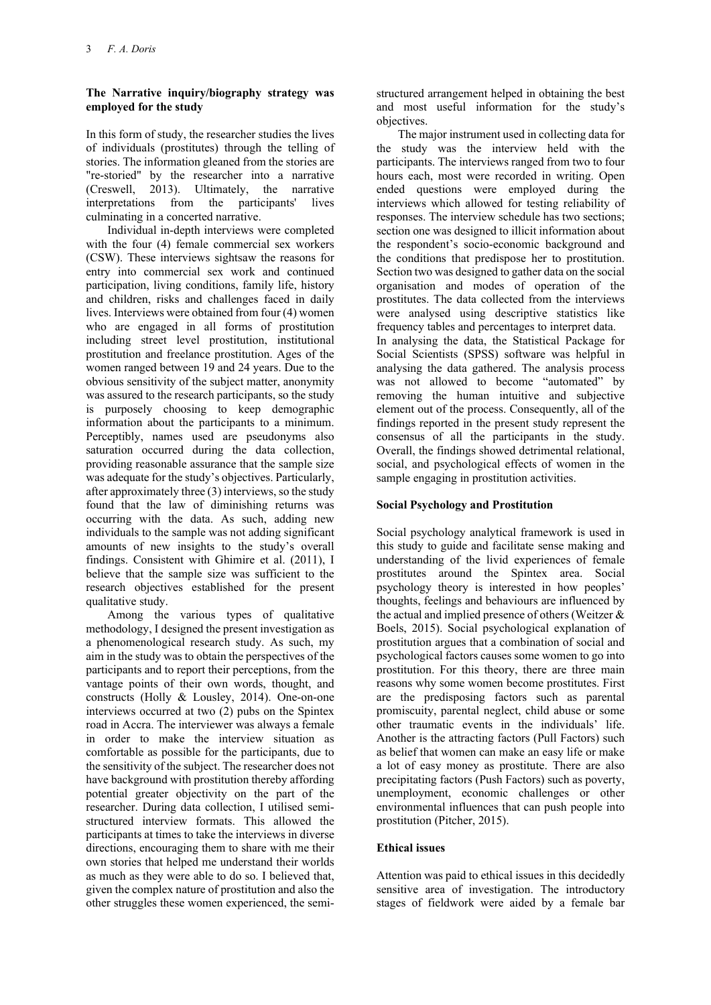# **The Narrative inquiry/biography strategy was employed for the study**

In this form of study, the researcher studies the lives of individuals (prostitutes) through the telling of stories. The information gleaned from the stories are "re-storied" by the researcher into a narrative (Creswell, 2013). Ultimately, the narrative interpretations from the participants' lives culminating in a concerted narrative.

Individual in-depth interviews were completed with the four (4) female commercial sex workers (CSW). These interviews sightsaw the reasons for entry into commercial sex work and continued participation, living conditions, family life, history and children, risks and challenges faced in daily lives. Interviews were obtained from four (4) women who are engaged in all forms of prostitution including street level prostitution, institutional prostitution and freelance prostitution. Ages of the women ranged between 19 and 24 years. Due to the obvious sensitivity of the subject matter, anonymity was assured to the research participants, so the study is purposely choosing to keep demographic information about the participants to a minimum. Perceptibly, names used are pseudonyms also saturation occurred during the data collection, providing reasonable assurance that the sample size was adequate for the study's objectives. Particularly, after approximately three (3) interviews, so the study found that the law of diminishing returns was occurring with the data. As such, adding new individuals to the sample was not adding significant amounts of new insights to the study's overall findings. Consistent with Ghimire et al. (2011), I believe that the sample size was sufficient to the research objectives established for the present qualitative study.

Among the various types of qualitative methodology, I designed the present investigation as a phenomenological research study. As such, my aim in the study was to obtain the perspectives of the participants and to report their perceptions, from the vantage points of their own words, thought, and constructs (Holly & Lousley, 2014). One-on-one interviews occurred at two (2) pubs on the Spintex road in Accra. The interviewer was always a female in order to make the interview situation as comfortable as possible for the participants, due to the sensitivity of the subject. The researcher does not have background with prostitution thereby affording potential greater objectivity on the part of the researcher. During data collection, I utilised semistructured interview formats. This allowed the participants at times to take the interviews in diverse directions, encouraging them to share with me their own stories that helped me understand their worlds as much as they were able to do so. I believed that, given the complex nature of prostitution and also the other struggles these women experienced, the semi-

structured arrangement helped in obtaining the best and most useful information for the study's objectives.

The major instrument used in collecting data for the study was the interview held with the participants. The interviews ranged from two to four hours each, most were recorded in writing. Open ended questions were employed during the interviews which allowed for testing reliability of responses. The interview schedule has two sections; section one was designed to illicit information about the respondent's socio-economic background and the conditions that predispose her to prostitution. Section two was designed to gather data on the social organisation and modes of operation of the prostitutes. The data collected from the interviews were analysed using descriptive statistics like frequency tables and percentages to interpret data. In analysing the data, the Statistical Package for Social Scientists (SPSS) software was helpful in analysing the data gathered. The analysis process was not allowed to become "automated" by removing the human intuitive and subjective element out of the process. Consequently, all of the findings reported in the present study represent the consensus of all the participants in the study. Overall, the findings showed detrimental relational, social, and psychological effects of women in the sample engaging in prostitution activities.

# **Social Psychology and Prostitution**

Social psychology analytical framework is used in this study to guide and facilitate sense making and understanding of the livid experiences of female prostitutes around the Spintex area. Social psychology theory is interested in how peoples' thoughts, feelings and behaviours are influenced by the actual and implied presence of others (Weitzer & Boels, 2015). Social psychological explanation of prostitution argues that a combination of social and psychological factors causes some women to go into prostitution. For this theory, there are three main reasons why some women become prostitutes. First are the predisposing factors such as parental promiscuity, parental neglect, child abuse or some other traumatic events in the individuals' life. Another is the attracting factors (Pull Factors) such as belief that women can make an easy life or make a lot of easy money as prostitute. There are also precipitating factors (Push Factors) such as poverty, unemployment, economic challenges or other environmental influences that can push people into prostitution (Pitcher, 2015).

# **Ethical issues**

Attention was paid to ethical issues in this decidedly sensitive area of investigation. The introductory stages of fieldwork were aided by a female bar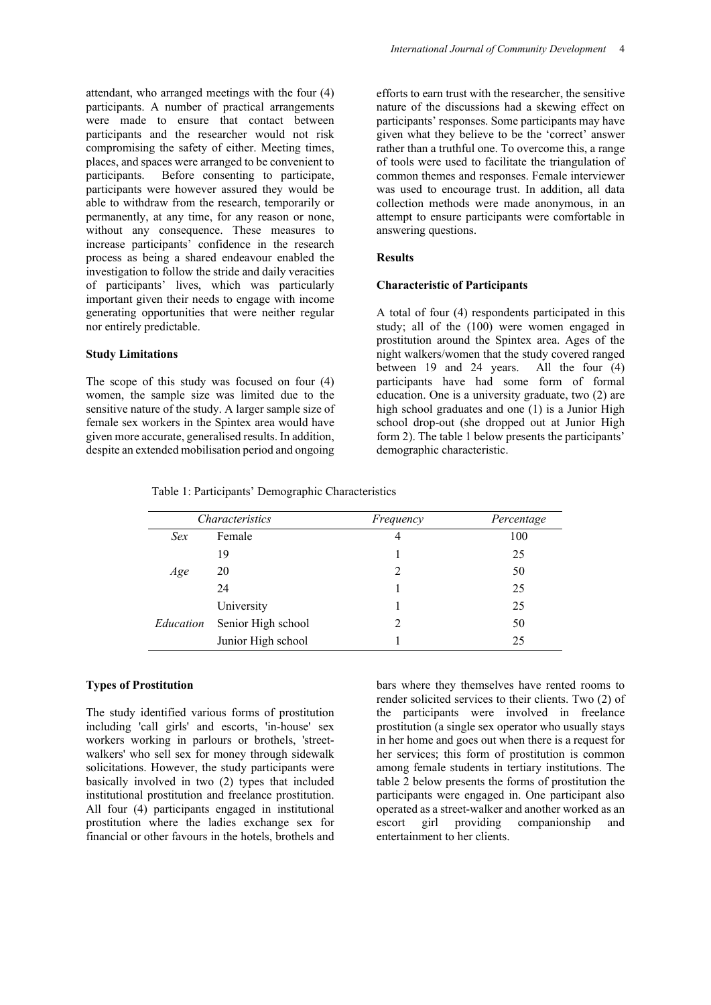attendant, who arranged meetings with the four (4) participants. A number of practical arrangements were made to ensure that contact between participants and the researcher would not risk compromising the safety of either. Meeting times, places, and spaces were arranged to be convenient to participants. Before consenting to participate, participants were however assured they would be able to withdraw from the research, temporarily or permanently, at any time, for any reason or none, without any consequence. These measures to increase participants' confidence in the research process as being a shared endeavour enabled the investigation to follow the stride and daily veracities of participants' lives, which was particularly important given their needs to engage with income generating opportunities that were neither regular nor entirely predictable.

## **Study Limitations**

The scope of this study was focused on four (4) women, the sample size was limited due to the sensitive nature of the study. A larger sample size of female sex workers in the Spintex area would have given more accurate, generalised results. In addition, despite an extended mobilisation period and ongoing

efforts to earn trust with the researcher, the sensitive nature of the discussions had a skewing effect on participants' responses. Some participants may have given what they believe to be the 'correct' answer rather than a truthful one. To overcome this, a range of tools were used to facilitate the triangulation of common themes and responses. Female interviewer was used to encourage trust. In addition, all data collection methods were made anonymous, in an attempt to ensure participants were comfortable in answering questions.

## **Results**

# **Characteristic of Participants**

A total of four (4) respondents participated in this study; all of the (100) were women engaged in prostitution around the Spintex area. Ages of the night walkers/women that the study covered ranged between 19 and 24 years. All the four (4) participants have had some form of formal education. One is a university graduate, two (2) are high school graduates and one (1) is a Junior High school drop-out (she dropped out at Junior High form 2). The table 1 below presents the participants' demographic characteristic.

Table 1: Participants' Demographic Characteristics

| Characteristics |                    | Frequency | Percentage |
|-----------------|--------------------|-----------|------------|
| Sex             | Female             | 4         | 100        |
|                 | 19                 |           | 25         |
| Age             | 20                 |           | 50         |
|                 | 24                 |           | 25         |
| Education       | University         |           | 25         |
|                 | Senior High school |           | 50         |
|                 | Junior High school |           | 25         |

## **Types of Prostitution**

The study identified various forms of prostitution including 'call girls' and escorts, 'in-house' sex workers working in parlours or brothels, 'streetwalkers' who sell sex for money through sidewalk solicitations. However, the study participants were basically involved in two (2) types that included institutional prostitution and freelance prostitution. All four (4) participants engaged in institutional prostitution where the ladies exchange sex for financial or other favours in the hotels, brothels and

bars where they themselves have rented rooms to render solicited services to their clients. Two (2) of the participants were involved in freelance prostitution (a single sex operator who usually stays in her home and goes out when there is a request for her services; this form of prostitution is common among female students in tertiary institutions. The table 2 below presents the forms of prostitution the participants were engaged in. One participant also operated as a street-walker and another worked as an escort girl providing companionship and entertainment to her clients.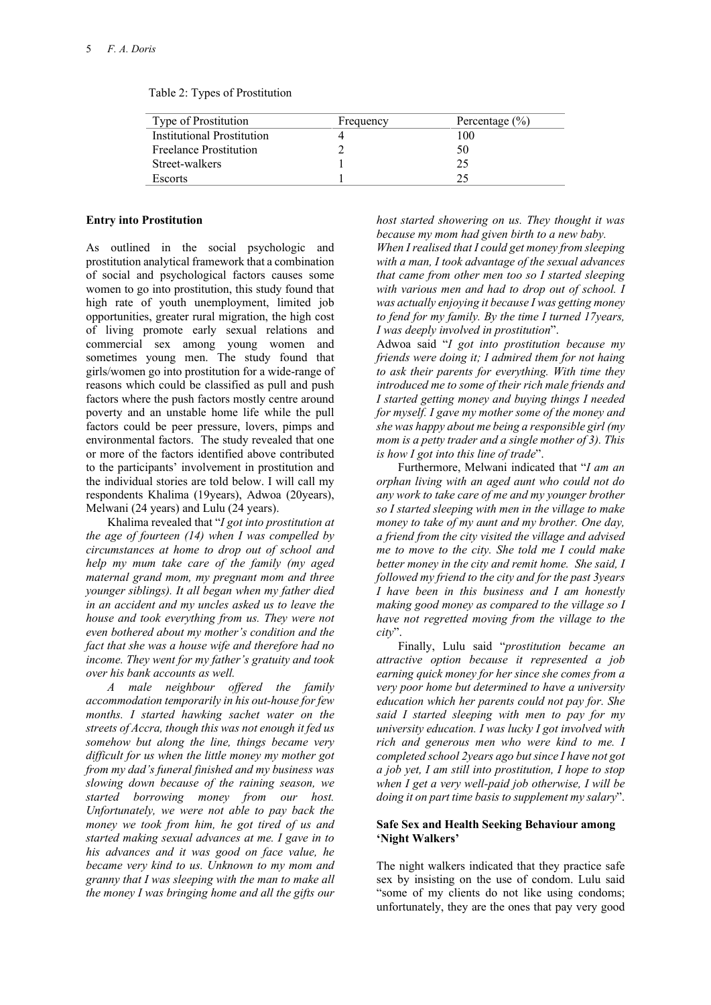| Type of Prostitution          | Frequency | Percentage $(\% )$ |
|-------------------------------|-----------|--------------------|
| Institutional Prostitution    |           | 100                |
| <b>Freelance Prostitution</b> |           | 50                 |
| Street-walkers                |           | 25                 |
| <b>Escorts</b>                |           |                    |
|                               |           |                    |

| Table 2: Types of Prostitution |
|--------------------------------|
|--------------------------------|

#### **Entry into Prostitution**

As outlined in the social psychologic and prostitution analytical framework that a combination of social and psychological factors causes some women to go into prostitution, this study found that high rate of youth unemployment, limited job opportunities, greater rural migration, the high cost of living promote early sexual relations and commercial sex among young women and sometimes young men. The study found that girls/women go into prostitution for a wide-range of reasons which could be classified as pull and push factors where the push factors mostly centre around poverty and an unstable home life while the pull factors could be peer pressure, lovers, pimps and environmental factors. The study revealed that one or more of the factors identified above contributed to the participants' involvement in prostitution and the individual stories are told below. I will call my respondents Khalima (19years), Adwoa (20years), Melwani (24 years) and Lulu (24 years).

Khalima revealed that "*I got into prostitution at the age of fourteen (14) when I was compelled by circumstances at home to drop out of school and help my mum take care of the family (my aged maternal grand mom, my pregnant mom and three younger siblings). It all began when my father died in an accident and my uncles asked us to leave the house and took everything from us. They were not even bothered about my mother's condition and the fact that she was a house wife and therefore had no income. They went for my father's gratuity and took over his bank accounts as well.*

*A male neighbour offered the family accommodation temporarily in his out-house for few months. I started hawking sachet water on the streets of Accra, though this was not enough it fed us somehow but along the line, things became very difficult for us when the little money my mother got from my dad's funeral finished and my business was slowing down because of the raining season, we started borrowing money from our host. Unfortunately, we were not able to pay back the money we took from him, he got tired of us and started making sexual advances at me. I gave in to his advances and it was good on face value, he became very kind to us. Unknown to my mom and granny that I was sleeping with the man to make all the money I was bringing home and all the gifts our* 

*host started showering on us. They thought it was because my mom had given birth to a new baby.*

*When I realised that I could get money from sleeping with a man, I took advantage of the sexual advances that came from other men too so I started sleeping with various men and had to drop out of school. I was actually enjoying it because I was getting money to fend for my family. By the time I turned 17years, I was deeply involved in prostitution*".

Adwoa said "*I got into prostitution because my friends were doing it; I admired them for not haing to ask their parents for everything. With time they introduced me to some of their rich male friends and I started getting money and buying things I needed for myself. I gave my mother some of the money and she was happy about me being a responsible girl (my mom is a petty trader and a single mother of 3). This is how I got into this line of trade*".

Furthermore, Melwani indicated that "*I am an orphan living with an aged aunt who could not do any work to take care of me and my younger brother so I started sleeping with men in the village to make money to take of my aunt and my brother. One day, a friend from the city visited the village and advised me to move to the city. She told me I could make better money in the city and remit home. She said, I followed my friend to the city and for the past 3years I have been in this business and I am honestly making good money as compared to the village so I have not regretted moving from the village to the city*".

Finally, Lulu said "*prostitution became an attractive option because it represented a job earning quick money for her since she comes from a very poor home but determined to have a university education which her parents could not pay for. She said I started sleeping with men to pay for my university education. I was lucky I got involved with rich and generous men who were kind to me. I completed school 2years ago but since I have not got a job yet, I am still into prostitution, I hope to stop when I get a very well-paid job otherwise, I will be doing it on part time basis to supplement my salary*".

## **Safe Sex and Health Seeking Behaviour among 'Night Walkers'**

The night walkers indicated that they practice safe sex by insisting on the use of condom. Lulu said "some of my clients do not like using condoms; unfortunately, they are the ones that pay very good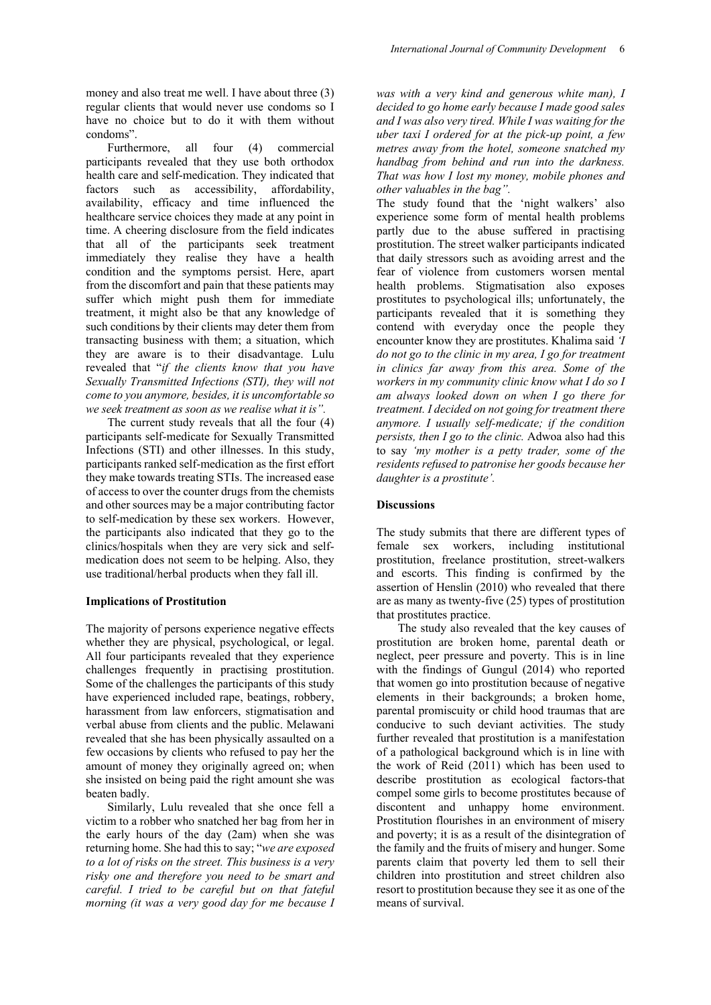money and also treat me well. I have about three (3) regular clients that would never use condoms so I have no choice but to do it with them without condoms".

Furthermore, all four (4) commercial participants revealed that they use both orthodox health care and self-medication. They indicated that factors such as accessibility, affordability, availability, efficacy and time influenced the healthcare service choices they made at any point in time. A cheering disclosure from the field indicates that all of the participants seek treatment immediately they realise they have a health condition and the symptoms persist. Here, apart from the discomfort and pain that these patients may suffer which might push them for immediate treatment, it might also be that any knowledge of such conditions by their clients may deter them from transacting business with them; a situation, which they are aware is to their disadvantage. Lulu revealed that "*if the clients know that you have Sexually Transmitted Infections (STI), they will not come to you anymore, besides, it is uncomfortable so we seek treatment as soon as we realise what it is".*

The current study reveals that all the four (4) participants self-medicate for Sexually Transmitted Infections (STI) and other illnesses. In this study, participants ranked self-medication as the first effort they make towards treating STIs. The increased ease of access to over the counter drugs from the chemists and other sources may be a major contributing factor to self-medication by these sex workers. However, the participants also indicated that they go to the clinics/hospitals when they are very sick and selfmedication does not seem to be helping. Also, they use traditional/herbal products when they fall ill.

## **Implications of Prostitution**

The majority of persons experience negative effects whether they are physical, psychological, or legal. All four participants revealed that they experience challenges frequently in practising prostitution. Some of the challenges the participants of this study have experienced included rape, beatings, robbery, harassment from law enforcers, stigmatisation and verbal abuse from clients and the public. Melawani revealed that she has been physically assaulted on a few occasions by clients who refused to pay her the amount of money they originally agreed on; when she insisted on being paid the right amount she was beaten badly.

Similarly, Lulu revealed that she once fell a victim to a robber who snatched her bag from her in the early hours of the day (2am) when she was returning home. She had this to say; "*we are exposed to a lot of risks on the street. This business is a very risky one and therefore you need to be smart and careful. I tried to be careful but on that fateful morning (it was a very good day for me because I* 

*was with a very kind and generous white man), I decided to go home early because I made good sales and I was also very tired. While I was waiting for the uber taxi I ordered for at the pick-up point, a few metres away from the hotel, someone snatched my handbag from behind and run into the darkness. That was how I lost my money, mobile phones and other valuables in the bag".*

The study found that the 'night walkers' also experience some form of mental health problems partly due to the abuse suffered in practising prostitution. The street walker participants indicated that daily stressors such as avoiding arrest and the fear of violence from customers worsen mental health problems. Stigmatisation also exposes prostitutes to psychological ills; unfortunately, the participants revealed that it is something they contend with everyday once the people they encounter know they are prostitutes. Khalima said *'I do not go to the clinic in my area, I go for treatment in clinics far away from this area. Some of the workers in my community clinic know what I do so I am always looked down on when I go there for treatment. I decided on not going for treatment there anymore. I usually self-medicate; if the condition persists, then I go to the clinic.* Adwoa also had this to say *'my mother is a petty trader, some of the residents refused to patronise her goods because her daughter is a prostitute'.* 

#### **Discussions**

The study submits that there are different types of female sex workers, including institutional prostitution, freelance prostitution, street-walkers and escorts. This finding is confirmed by the assertion of Henslin (2010) who revealed that there are as many as twenty-five (25) types of prostitution that prostitutes practice.

The study also revealed that the key causes of prostitution are broken home, parental death or neglect, peer pressure and poverty. This is in line with the findings of Gungul (2014) who reported that women go into prostitution because of negative elements in their backgrounds; a broken home, parental promiscuity or child hood traumas that are conducive to such deviant activities. The study further revealed that prostitution is a manifestation of a pathological background which is in line with the work of Reid (2011) which has been used to describe prostitution as ecological factors-that compel some girls to become prostitutes because of discontent and unhappy home environment. Prostitution flourishes in an environment of misery and poverty; it is as a result of the disintegration of the family and the fruits of misery and hunger. Some parents claim that poverty led them to sell their children into prostitution and street children also resort to prostitution because they see it as one of the means of survival.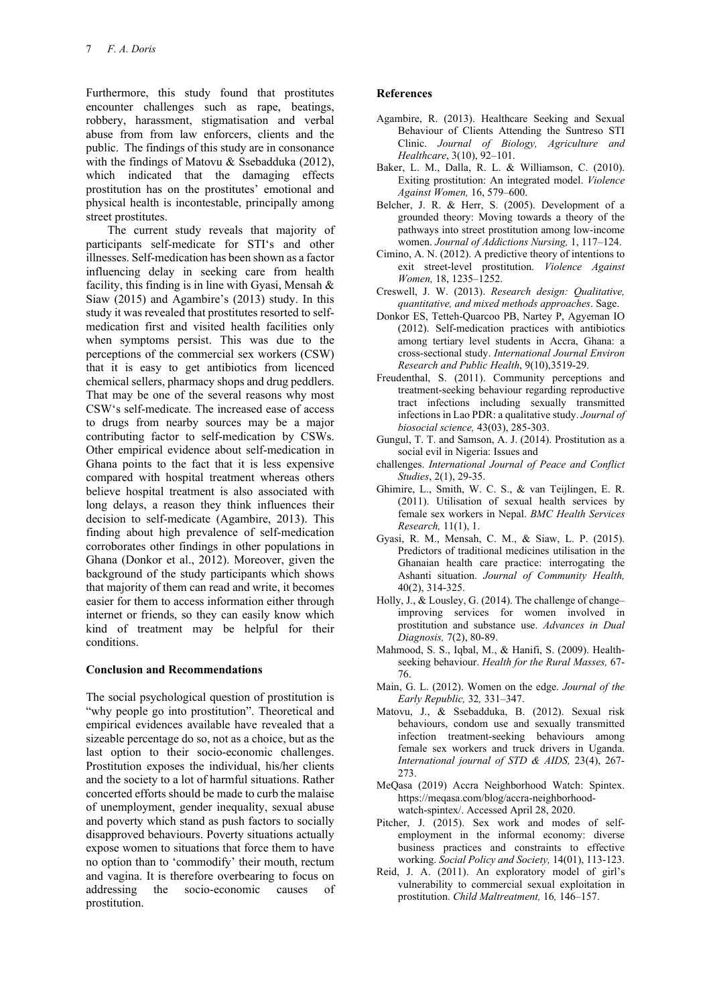Furthermore, this study found that prostitutes encounter challenges such as rape, beatings, robbery, harassment, stigmatisation and verbal abuse from from law enforcers, clients and the public. The findings of this study are in consonance with the findings of Matovu & Ssebadduka (2012), which indicated that the damaging effects prostitution has on the prostitutes' emotional and physical health is incontestable, principally among street prostitutes.

The current study reveals that majority of participants self-medicate for STI's and other illnesses. Self-medication has been shown as a factor influencing delay in seeking care from health facility, this finding is in line with Gyasi, Mensah & Siaw (2015) and Agambire's (2013) study. In this study it was revealed that prostitutes resorted to selfmedication first and visited health facilities only when symptoms persist. This was due to the perceptions of the commercial sex workers (CSW) that it is easy to get antibiotics from licenced chemical sellers, pharmacy shops and drug peddlers. That may be one of the several reasons why most CSW's self-medicate. The increased ease of access to drugs from nearby sources may be a major contributing factor to self-medication by CSWs. Other empirical evidence about self-medication in Ghana points to the fact that it is less expensive compared with hospital treatment whereas others believe hospital treatment is also associated with long delays, a reason they think influences their decision to self-medicate (Agambire, 2013). This finding about high prevalence of self-medication corroborates other findings in other populations in Ghana (Donkor et al., 2012). Moreover, given the background of the study participants which shows that majority of them can read and write, it becomes easier for them to access information either through internet or friends, so they can easily know which kind of treatment may be helpful for their conditions.

## **Conclusion and Recommendations**

The social psychological question of prostitution is "why people go into prostitution". Theoretical and empirical evidences available have revealed that a sizeable percentage do so, not as a choice, but as the last option to their socio-economic challenges. Prostitution exposes the individual, his/her clients and the society to a lot of harmful situations. Rather concerted efforts should be made to curb the malaise of unemployment, gender inequality, sexual abuse and poverty which stand as push factors to socially disapproved behaviours. Poverty situations actually expose women to situations that force them to have no option than to 'commodify' their mouth, rectum and vagina. It is therefore overbearing to focus on addressing the socio-economic causes of prostitution.

## **References**

- Agambire, R. (2013). Healthcare Seeking and Sexual Behaviour of Clients Attending the Suntreso STI Clinic. *Journal of Biology, Agriculture and Healthcare*, 3(10), 92–101.
- Baker, L. M., Dalla, R. L. & Williamson, C. (2010). Exiting prostitution: An integrated model. *Violence Against Women,* 16, 579–600.
- Belcher, J. R. & Herr, S. (2005). Development of a grounded theory: Moving towards a theory of the pathways into street prostitution among low-income women. *Journal of Addictions Nursing,* 1, 117–124.
- Cimino, A. N. (2012). A predictive theory of intentions to exit street-level prostitution. *Violence Against Women,* 18, 1235–1252.
- Creswell, J. W. (2013). *Research design: Qualitative, quantitative, and mixed methods approaches*. Sage.
- Donkor ES, Tetteh-Quarcoo PB, Nartey P, Agyeman IO (2012). Self-medication practices with antibiotics among tertiary level students in Accra, Ghana: a cross-sectional study. *International Journal Environ Research and Public Health*, 9(10),3519-29.
- Freudenthal, S. (2011). Community perceptions and treatment-seeking behaviour regarding reproductive tract infections including sexually transmitted infections in Lao PDR: a qualitative study. *Journal of biosocial science,* 43(03), 285-303.
- Gungul, T. T. and Samson, A. J. (2014). Prostitution as a social evil in Nigeria: Issues and
- challenges. *International Journal of Peace and Conflict Studies*, 2(1), 29-35.
- Ghimire, L., Smith, W. C. S., & van Teijlingen, E. R. (2011). Utilisation of sexual health services by female sex workers in Nepal. *BMC Health Services Research,* 11(1), 1.
- Gyasi, R. M., Mensah, C. M., & Siaw, L. P. (2015). Predictors of traditional medicines utilisation in the Ghanaian health care practice: interrogating the Ashanti situation. *Journal of Community Health,*  40(2), 314-325.
- Holly, J., & Lousley, G. (2014). The challenge of change– improving services for women involved in prostitution and substance use. *Advances in Dual Diagnosis,* 7(2), 80-89.
- Mahmood, S. S., Iqbal, M., & Hanifi, S. (2009). Healthseeking behaviour. *Health for the Rural Masses,* 67- 76.
- Main, G. L. (2012). Women on the edge. *Journal of the Early Republic,* 32*,* 331–347.
- Matovu, J., & Ssebadduka, B. (2012). Sexual risk behaviours, condom use and sexually transmitted infection treatment-seeking behaviours among female sex workers and truck drivers in Uganda. *International journal of STD & AIDS,* 23(4), 267- 273.
- MeQasa (2019) Accra Neighborhood Watch: Spintex. [https://meqasa.com/blog/accra-neighborhood](https://meqasa.com/blog/accra-neighborhood-watch-spintex/)[watch-spintex/.](https://meqasa.com/blog/accra-neighborhood-watch-spintex/) Accessed April 28, 2020.
- Pitcher, J. (2015). Sex work and modes of selfemployment in the informal economy: diverse business practices and constraints to effective working. *Social Policy and Society,* 14(01), 113-123.
- Reid, J. A. (2011). An exploratory model of girl's vulnerability to commercial sexual exploitation in prostitution. *Child Maltreatment,* 16*,* 146–157.